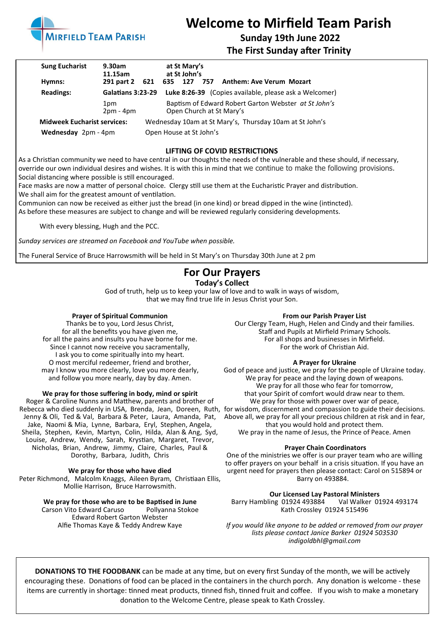

# **Welcome to Mirfield Team Parish**

# **Sunday 19th June 2022**

**The First Sunday after Trinity**

| <b>Sung Eucharist</b>              | 9.30am<br>11.15am  |                                                         |     | at St Mary's<br>at St John's |                         |                                                                                  |
|------------------------------------|--------------------|---------------------------------------------------------|-----|------------------------------|-------------------------|----------------------------------------------------------------------------------|
| Hymns:                             | 291 part 2         | 621                                                     | 635 | 127                          |                         | 757 Anthem: Ave Verum Mozart                                                     |
| <b>Readings:</b>                   | Galatians 3:23-29  |                                                         |     |                              |                         | Luke 8:26-39 (Copies available, please ask a Welcomer)                           |
|                                    | 1pm<br>$2pm - 4pm$ |                                                         |     |                              |                         | Baptism of Edward Robert Garton Webster at St John's<br>Open Church at St Mary's |
| <b>Midweek Eucharist services:</b> |                    | Wednesday 10am at St Mary's, Thursday 10am at St John's |     |                              |                         |                                                                                  |
| Wednesday 2pm - 4pm                |                    |                                                         |     |                              | Open House at St John's |                                                                                  |

#### **LIFTING OF COVID RESTRICTIONS**

As a Christian community we need to have central in our thoughts the needs of the vulnerable and these should, if necessary, override our own individual desires and wishes. It is with this in mind that we continue to make the following provisions. Social distancing where possible is still encouraged.

Face masks are now a matter of personal choice. Clergy still use them at the Eucharistic Prayer and distribution. We shall aim for the greatest amount of ventilation.

Communion can now be received as either just the bread (in one kind) or bread dipped in the wine (intincted). As before these measures are subject to change and will be reviewed regularly considering developments.

With every blessing, Hugh and the PCC.

*Sunday services are streamed on Facebook and YouTube when possible.*

The Funeral Service of Bruce Harrowsmith will be held in St Mary's on Thursday 30th June at 2 pm

## **For Our Prayers**

### **Today's Collect**

God of truth, help us to keep your law of love and to walk in ways of wisdom, that we may find true life in Jesus Christ your Son.

#### **Prayer of Spiritual Communion**

Thanks be to you, Lord Jesus Christ, for all the benefits you have given me, for all the pains and insults you have borne for me. Since I cannot now receive you sacramentally, I ask you to come spiritually into my heart. O most merciful redeemer, friend and brother, may I know you more clearly, love you more dearly, and follow you more nearly, day by day. Amen.

**We pray for those suffering in body, mind or spirit**

Roger & Caroline Nunns and Matthew, parents and brother of Jenny & Oli, Ted & Val, Barbara & Peter, Laura, Amanda, Pat, Jake, Naomi & Mia, Lynne, Barbara, Eryl, Stephen, Angela, Sheila, Stephen, Kevin, Martyn, Colin, Hilda, Alan & Ang, Syd, Louise, Andrew, Wendy, Sarah, Krystian, Margaret, Trevor, Nicholas, Brian, Andrew, Jimmy, Claire, Charles, Paul & Dorothy, Barbara, Judith, Chris

#### **We pray for those who have died**

Peter Richmond, Malcolm Knaggs, Aileen Byram, Christiaan Ellis, Mollie Harrison, Bruce Harrowsmith.

> **We pray for those who are to be Baptised in June** Carson Vito Edward Caruso Edward Robert Garton Webster Alfie Thomas Kaye & Teddy Andrew Kaye

#### **From our Parish Prayer List**

Our Clergy Team, Hugh, Helen and Cindy and their families. Staff and Pupils at Mirfield Primary Schools. For all shops and businesses in Mirfield. For the work of Christian Aid.

#### **A Prayer for Ukraine**

Rebecca who died suddenly in USA, Brenda, Jean, Doreen, Ruth, for wisdom, discernment and compassion to guide their decisions. God of peace and justice, we pray for the people of Ukraine today. We pray for peace and the laying down of weapons. We pray for all those who fear for tomorrow, that your Spirit of comfort would draw near to them. We pray for those with power over war of peace, Above all, we pray for all your precious children at risk and in fear, that you would hold and protect them. We pray in the name of Jesus, the Prince of Peace. Amen

### **Prayer Chain Coordinators**

One of the ministries we offer is our prayer team who are willing to offer prayers on your behalf in a crisis situation. If you have an urgent need for prayers then please contact: Carol on 515894 or Barry on 493884.

#### **Our Licensed Lay Pastoral Ministers**

Barry Hambling 01924 493884 Val Walker 01924 493174 Kath Crossley 01924 515496

*If you would like anyone to be added or removed from our prayer lists please contact Janice Barker 01924 503530 indigoldbhl@gmail.com*

**DONATIONS TO THE FOODBANK** can be made at any time, but on every first Sunday of the month, we will be actively encouraging these. Donations of food can be placed in the containers in the church porch. Any donation is welcome - these items are currently in shortage: tinned meat products, tinned fish, tinned fruit and coffee. If you wish to make a monetary donation to the Welcome Centre, please speak to Kath Crossley.